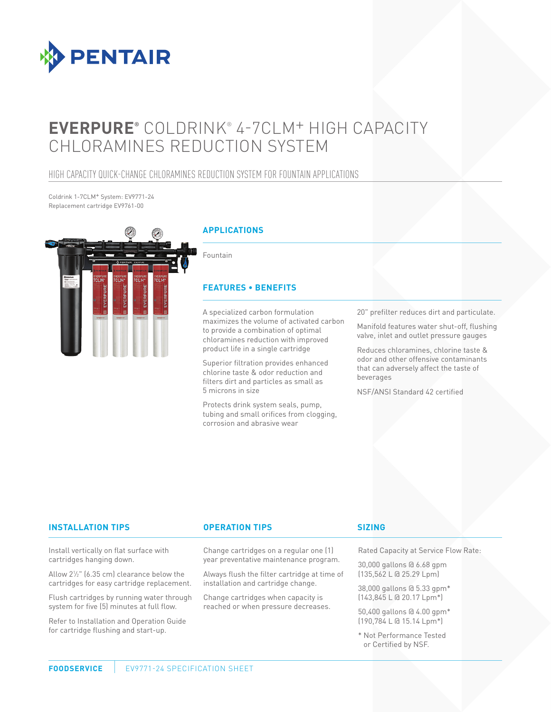

# **EVERPURE®** COLDRINK® 4-7CLM+ HIGH CAPACITY CHLORAMINES REDUCTION SYSTEM

### HIGH CAPACITY QUICK-CHANGE CHLORAMINES REDUCTION SYSTEM FOR FOUNTAIN APPLICATIONS

Coldrink 1-7CLM+ System: EV9771-24 Replacement cartridge EV9761-00



Protects drink system seals, pump, tubing and small orifices from clogging,

corrosion and abrasive wear

NSF/ANSI Standard 42 certified

#### **INSTALLATION TIPS OPERATION TIPS**

Install vertically on flat surface with cartridges hanging down.

Allow 21 ⁄2" (6.35 cm) clearance below the cartridges for easy cartridge replacement.

Flush cartridges by running water through system for five (5) minutes at full flow.

Refer to Installation and Operation Guide for cartridge flushing and start-up.

#### Change cartridges on a regular one (1) year preventative maintenance program.

Always flush the filter cartridge at time of installation and cartridge change.

Change cartridges when capacity is reached or when pressure decreases.

#### **SIZING**

Rated Capacity at Service Flow Rate:

30,000 gallons @ 6.68 gpm (135,562 L @ 25.29 Lpm)

38,000 gallons @ 5.33 gpm\* (143,845 L @ 20.17 Lpm\*)

50,400 gallons @ 4.00 gpm\* (190,784 L @ 15.14 Lpm\*)

\* Not Performance Tested or Certified by NSF.